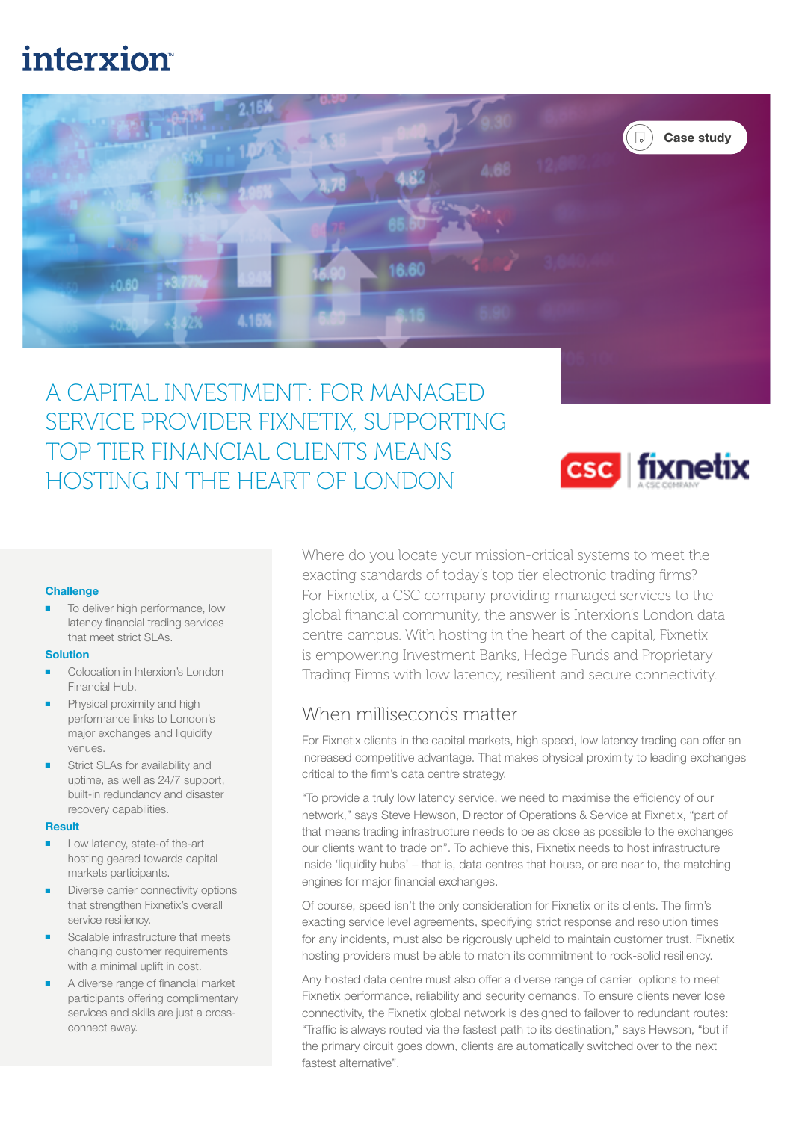# **interxion**



A CAPITAL INVESTMENT: FOR MANAGED SERVICE PROVIDER FIXNETIX, SUPPORTING TOP TIER FINANCIAL CLIENTS MEANS HOSTING IN THE HEART OF LONDON



### **Challenge**

To deliver high performance, low latency financial trading services that meet strict SLAs.

#### Solution

- Colocation in Interxion's London Financial Hub.
- Physical proximity and high performance links to London's major exchanges and liquidity venues.
- Strict SLAs for availability and uptime, as well as 24/7 support, built-in redundancy and disaster recovery capabilities.

#### Result

- Low latency, state-of the-art hosting geared towards capital markets participants.
- Diverse carrier connectivity options that strengthen Fixnetix's overall service resiliency.
- Scalable infrastructure that meets changing customer requirements with a minimal uplift in cost.
- A diverse range of financial market participants offering complimentary services and skills are just a crossconnect away.

Where do you locate your mission-critical systems to meet the exacting standards of today's top tier electronic trading firms? For Fixnetix, a CSC company providing managed services to the global financial community, the answer is Interxion's London data centre campus. With hosting in the heart of the capital, Fixnetix is empowering Investment Banks, Hedge Funds and Proprietary Trading Firms with low latency, resilient and secure connectivity.

## When milliseconds matter

For Fixnetix clients in the capital markets, high speed, low latency trading can offer an increased competitive advantage. That makes physical proximity to leading exchanges critical to the firm's data centre strategy.

"To provide a truly low latency service, we need to maximise the efficiency of our network," says Steve Hewson, Director of Operations & Service at Fixnetix, "part of that means trading infrastructure needs to be as close as possible to the exchanges our clients want to trade on". To achieve this, Fixnetix needs to host infrastructure inside 'liquidity hubs' – that is, data centres that house, or are near to, the matching engines for major financial exchanges.

Of course, speed isn't the only consideration for Fixnetix or its clients. The firm's exacting service level agreements, specifying strict response and resolution times for any incidents, must also be rigorously upheld to maintain customer trust. Fixnetix hosting providers must be able to match its commitment to rock-solid resiliency.

Any hosted data centre must also offer a diverse range of carrier options to meet Fixnetix performance, reliability and security demands. To ensure clients never lose connectivity, the Fixnetix global network is designed to failover to redundant routes: "Traffic is always routed via the fastest path to its destination," says Hewson, "but if the primary circuit goes down, clients are automatically switched over to the next fastest alternative".